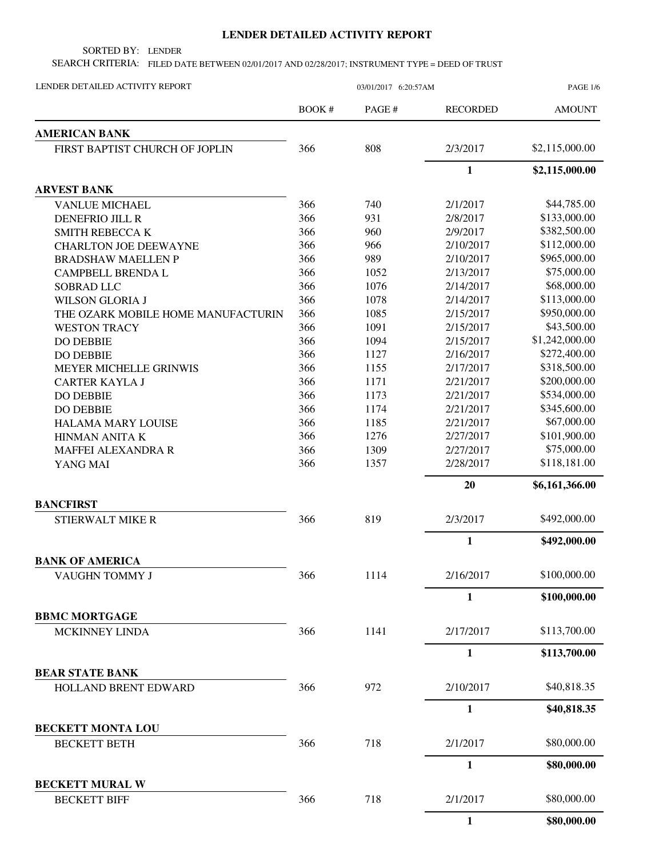## **LENDER DETAILED ACTIVITY REPORT**

SORTED BY: LENDER

SEARCH CRITERIA: FILED DATE BETWEEN 02/01/2017 AND 02/28/2017; INSTRUMENT TYPE = DEED OF TRUST

| LENDER DETAILED ACTIVITY REPORT               | 03/01/2017 6:20:57AM |        |                 | <b>PAGE 1/6</b> |  |
|-----------------------------------------------|----------------------|--------|-----------------|-----------------|--|
|                                               | BOOK #               | PAGE # | <b>RECORDED</b> | <b>AMOUNT</b>   |  |
| <b>AMERICAN BANK</b>                          |                      |        |                 |                 |  |
| FIRST BAPTIST CHURCH OF JOPLIN                | 366                  | 808    | 2/3/2017        | \$2,115,000.00  |  |
|                                               |                      |        | $\mathbf{1}$    | \$2,115,000.00  |  |
| <b>ARVEST BANK</b>                            |                      |        |                 |                 |  |
| <b>VANLUE MICHAEL</b>                         | 366                  | 740    | 2/1/2017        | \$44,785.00     |  |
| <b>DENEFRIO JILL R</b>                        | 366                  | 931    | 2/8/2017        | \$133,000.00    |  |
| <b>SMITH REBECCA K</b>                        | 366                  | 960    | 2/9/2017        | \$382,500.00    |  |
| <b>CHARLTON JOE DEEWAYNE</b>                  | 366                  | 966    | 2/10/2017       | \$112,000.00    |  |
| <b>BRADSHAW MAELLEN P</b>                     | 366                  | 989    | 2/10/2017       | \$965,000.00    |  |
| <b>CAMPBELL BRENDA L</b>                      | 366                  | 1052   | 2/13/2017       | \$75,000.00     |  |
| SOBRAD LLC                                    | 366                  | 1076   | 2/14/2017       | \$68,000.00     |  |
| <b>WILSON GLORIA J</b>                        | 366                  | 1078   | 2/14/2017       | \$113,000.00    |  |
| THE OZARK MOBILE HOME MANUFACTURIN            | 366                  | 1085   | 2/15/2017       | \$950,000.00    |  |
| <b>WESTON TRACY</b>                           | 366                  | 1091   | 2/15/2017       | \$43,500.00     |  |
| <b>DO DEBBIE</b>                              | 366                  | 1094   | 2/15/2017       | \$1,242,000.00  |  |
| <b>DO DEBBIE</b>                              | 366                  | 1127   | 2/16/2017       | \$272,400.00    |  |
| <b>MEYER MICHELLE GRINWIS</b>                 | 366                  | 1155   | 2/17/2017       | \$318,500.00    |  |
| <b>CARTER KAYLA J</b>                         | 366                  | 1171   | 2/21/2017       | \$200,000.00    |  |
| <b>DO DEBBIE</b>                              | 366                  | 1173   | 2/21/2017       | \$534,000.00    |  |
| <b>DO DEBBIE</b>                              | 366                  | 1174   | 2/21/2017       | \$345,600.00    |  |
| <b>HALAMA MARY LOUISE</b>                     | 366                  | 1185   | 2/21/2017       | \$67,000.00     |  |
| HINMAN ANITA K                                | 366                  | 1276   | 2/27/2017       | \$101,900.00    |  |
| MAFFEI ALEXANDRA R                            | 366                  | 1309   | 2/27/2017       | \$75,000.00     |  |
| YANG MAI                                      | 366                  | 1357   | 2/28/2017       | \$118,181.00    |  |
|                                               |                      |        | 20              | \$6,161,366.00  |  |
| <b>BANCFIRST</b>                              |                      |        |                 |                 |  |
| STIERWALT MIKE R                              | 366                  | 819    | 2/3/2017        | \$492,000.00    |  |
|                                               |                      |        | $\mathbf{1}$    | \$492,000.00    |  |
| <b>BANK OF AMERICA</b>                        |                      |        |                 |                 |  |
| VAUGHN TOMMY J                                | 366                  | 1114   | 2/16/2017       | \$100,000.00    |  |
|                                               |                      |        | $\mathbf{1}$    | \$100,000.00    |  |
| <b>BBMC MORTGAGE</b>                          |                      |        |                 |                 |  |
| <b>MCKINNEY LINDA</b>                         | 366                  | 1141   | 2/17/2017       | \$113,700.00    |  |
|                                               |                      |        | $\mathbf{1}$    | \$113,700.00    |  |
| <b>BEAR STATE BANK</b>                        |                      |        |                 |                 |  |
| HOLLAND BRENT EDWARD                          | 366                  | 972    | 2/10/2017       | \$40,818.35     |  |
|                                               |                      |        | $\mathbf{1}$    | \$40,818.35     |  |
| <b>BECKETT MONTA LOU</b>                      |                      |        |                 |                 |  |
| <b>BECKETT BETH</b>                           | 366                  | 718    | 2/1/2017        | \$80,000.00     |  |
|                                               |                      |        | $\mathbf{1}$    | \$80,000.00     |  |
| <b>BECKETT MURAL W</b><br><b>BECKETT BIFF</b> | 366                  | 718    | 2/1/2017        | \$80,000.00     |  |
|                                               |                      |        | $\mathbf{1}$    | \$80,000.00     |  |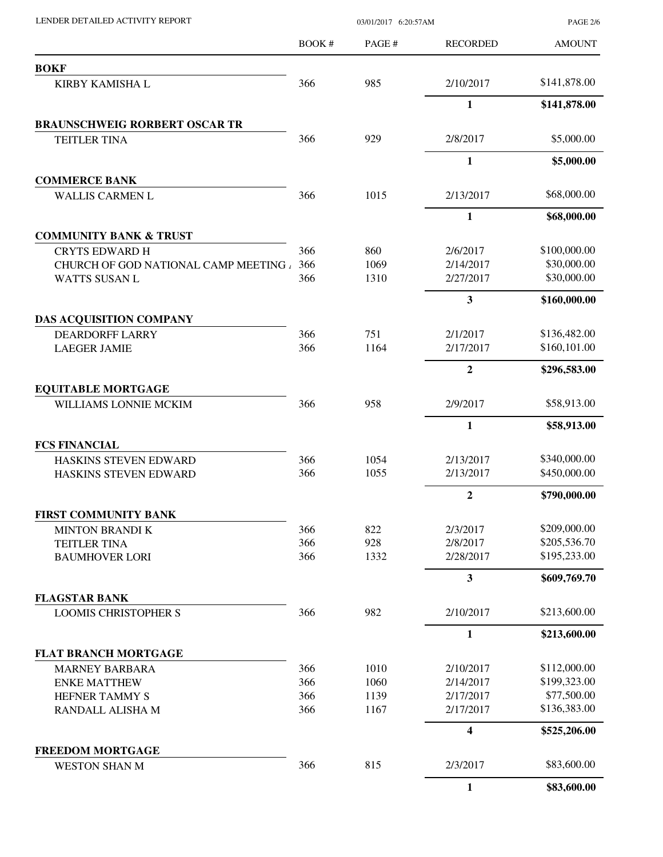BOOK # PAGE # AMOUNT RECORDED **BOKF** KIRBY KAMISHA L 366 985 2/10/2017 \$141,878.00 **1 \$141,878.00 BRAUNSCHWEIG RORBERT OSCAR TR** TEITLER TINA  $366$  929 2/8/2017 \$5,000.00 **1 \$5,000.00 COMMERCE BANK** WALLIS CARMEN L 366 1015 2/13/2017 \$68,000.00 **1 \$68,000.00 COMMUNITY BANK & TRUST** CRYTS EDWARD H 366 860 2/6/2017 \$100,000.00 CHURCH OF GOD NATIONAL CAMP MEETING 4 366 1069 2/14/2017 \$30,000.00 WATTS SUSAN L 366 1310 2/27/2017 \$30,000.00 **3 \$160,000.00 DAS ACQUISITION COMPANY** DEARDORFF LARRY 366 751 2/1/2017 \$136,482.00 LAEGER JAMIE 366 1164 2/17/2017 \$160,101.00 **2 \$296,583.00 EQUITABLE MORTGAGE** WILLIAMS LONNIE MCKIM 366 958 2/9/2017 \$58,913.00 **1 \$58,913.00 FCS FINANCIAL** HASKINS STEVEN EDWARD 366 1054 2/13/2017 \$340,000.00 HASKINS STEVEN EDWARD 366 1055 2/13/2017 \$450,000.00 **2 \$790,000.00 FIRST COMMUNITY BANK** MINTON BRANDI K 366 822 2/3/2017 \$209,000.00 TEITLER TINA 5205,536.70 BAUMHOVER LORI 366 1332 2/28/2017 \$195,233.00 **3 \$609,769.70 FLAGSTAR BANK** LOOMIS CHRISTOPHER S 366 982 2/10/2017 \$213,600.00 **1 \$213,600.00 FLAT BRANCH MORTGAGE** MARNEY BARBARA 366 1010 2/10/2017 \$112,000.00 ENKE MATTHEW 366 1060 2/14/2017 \$199,323.00 HEFNER TAMMY S 366 1139 2/17/2017 \$77,500.00 RANDALL ALISHA M 366 1167 2/17/2017 \$136,383.00 **4 \$525,206.00 FREEDOM MORTGAGE** WESTON SHAN M 366 815 2/3/2017 \$83,600.00 **1 \$83,600.00**

LENDER DETAILED ACTIVITY REPORT 03/01/2017 6:20:57AM

PAGE 2/6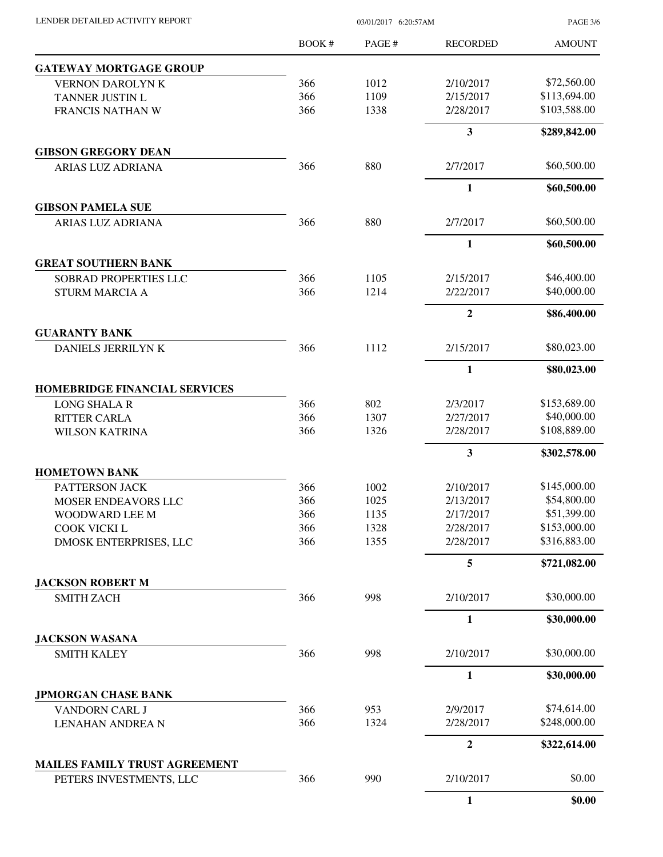| LENDER DETAILED ACTIVITY REPORT |  |
|---------------------------------|--|

03/01/2017 6:20:57AM

PAGE 3/6

|                                                      | BOOK#      | PAGE#        | <b>RECORDED</b>         | <b>AMOUNT</b>               |
|------------------------------------------------------|------------|--------------|-------------------------|-----------------------------|
| <b>GATEWAY MORTGAGE GROUP</b>                        |            |              |                         |                             |
| VERNON DAROLYN K                                     | 366        | 1012         | 2/10/2017               | \$72,560.00                 |
| TANNER JUSTIN L                                      | 366        | 1109         | 2/15/2017               | \$113,694.00                |
| FRANCIS NATHAN W                                     | 366        | 1338         | 2/28/2017               | \$103,588.00                |
|                                                      |            |              | $\overline{\mathbf{3}}$ | \$289,842.00                |
| <b>GIBSON GREGORY DEAN</b>                           |            |              |                         |                             |
| ARIAS LUZ ADRIANA                                    | 366        | 880          | 2/7/2017                | \$60,500.00                 |
|                                                      |            |              | $\mathbf{1}$            | \$60,500.00                 |
| <b>GIBSON PAMELA SUE</b><br><b>ARIAS LUZ ADRIANA</b> | 366        | 880          | 2/7/2017                | \$60,500.00                 |
|                                                      |            |              | 1                       | \$60,500.00                 |
| <b>GREAT SOUTHERN BANK</b>                           |            |              |                         |                             |
| <b>SOBRAD PROPERTIES LLC</b>                         | 366        | 1105         | 2/15/2017               | \$46,400.00                 |
| <b>STURM MARCIA A</b>                                | 366        | 1214         | 2/22/2017               | \$40,000.00                 |
|                                                      |            |              | $\overline{2}$          | \$86,400.00                 |
| <b>GUARANTY BANK</b>                                 |            |              |                         |                             |
| DANIELS JERRILYN K                                   | 366        | 1112         | 2/15/2017               | \$80,023.00                 |
|                                                      |            |              | $\mathbf{1}$            | \$80,023.00                 |
| <b>HOMEBRIDGE FINANCIAL SERVICES</b>                 |            |              |                         |                             |
| <b>LONG SHALA R</b>                                  | 366        | 802          | 2/3/2017                | \$153,689.00                |
| <b>RITTER CARLA</b>                                  | 366        | 1307         | 2/27/2017               | \$40,000.00                 |
| <b>WILSON KATRINA</b>                                | 366        | 1326         | 2/28/2017               | \$108,889.00                |
|                                                      |            |              | 3                       | \$302,578.00                |
| <b>HOMETOWN BANK</b>                                 |            |              |                         |                             |
| PATTERSON JACK<br>MOSER ENDEAVORS LLC                | 366<br>366 | 1002<br>1025 | 2/10/2017<br>2/13/2017  | \$145,000.00<br>\$54,800.00 |
| WOODWARD LEE M                                       | 366        | 1135         | 2/17/2017               | \$51,399.00                 |
| COOK VICKI L                                         | 366        | 1328         | 2/28/2017               | \$153,000.00                |
| DMOSK ENTERPRISES, LLC                               | 366        | 1355         | 2/28/2017               | \$316,883.00                |
|                                                      |            |              | 5                       | \$721,082.00                |
| <b>JACKSON ROBERT M</b>                              |            |              |                         |                             |
| <b>SMITH ZACH</b>                                    | 366        | 998          | 2/10/2017               | \$30,000.00                 |
|                                                      |            |              | 1                       | \$30,000.00                 |
| <b>JACKSON WASANA</b>                                |            |              |                         |                             |
| <b>SMITH KALEY</b>                                   | 366        | 998          | 2/10/2017               | \$30,000.00                 |
|                                                      |            |              | $\mathbf{1}$            | \$30,000.00                 |
| <b>JPMORGAN CHASE BANK</b>                           |            |              |                         |                             |
| VANDORN CARL J                                       | 366        | 953          | 2/9/2017                | \$74,614.00<br>\$248,000.00 |
| <b>LENAHAN ANDREA N</b>                              | 366        | 1324         | 2/28/2017               |                             |
| MAILES FAMILY TRUST AGREEMENT                        |            |              | $\boldsymbol{2}$        | \$322,614.00                |
| PETERS INVESTMENTS, LLC                              | 366        | 990          | 2/10/2017               | \$0.00                      |
|                                                      |            |              | $\mathbf{1}$            | \$0.00                      |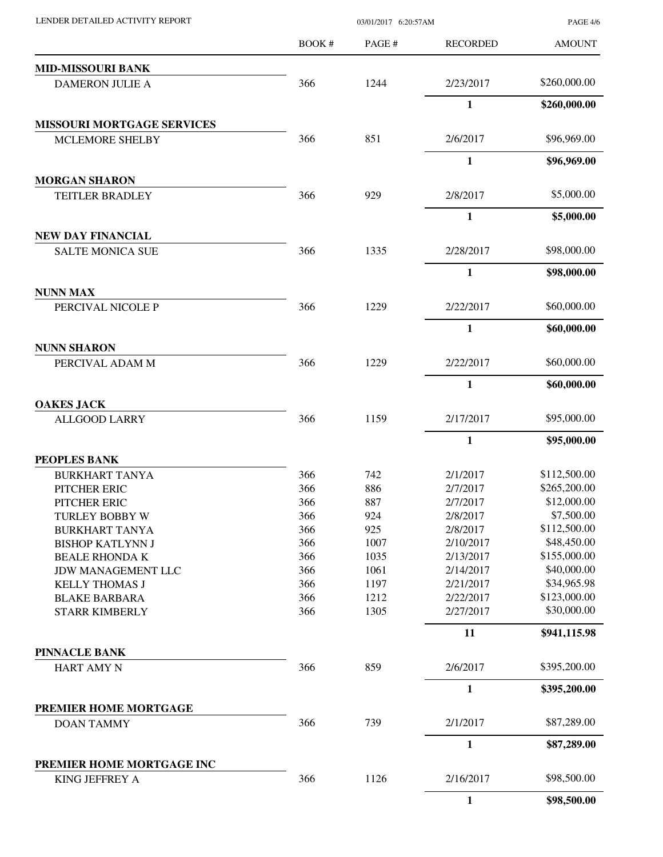| LENDER DETAILED ACTIVITY REPORT            |       | 03/01/2017 6:20:57AM |                 |               |  |
|--------------------------------------------|-------|----------------------|-----------------|---------------|--|
|                                            | BOOK# | PAGE#                | <b>RECORDED</b> | <b>AMOUNT</b> |  |
| <b>MID-MISSOURI BANK</b>                   |       |                      |                 |               |  |
| <b>DAMERON JULIE A</b>                     | 366   | 1244                 | 2/23/2017       | \$260,000.00  |  |
|                                            |       |                      | $\mathbf{1}$    | \$260,000.00  |  |
| <b>MISSOURI MORTGAGE SERVICES</b>          |       |                      |                 |               |  |
| <b>MCLEMORE SHELBY</b>                     | 366   | 851                  | 2/6/2017        | \$96,969.00   |  |
|                                            |       |                      | $\mathbf{1}$    | \$96,969.00   |  |
| <b>MORGAN SHARON</b>                       |       |                      |                 |               |  |
| <b>TEITLER BRADLEY</b>                     | 366   | 929                  | 2/8/2017        | \$5,000.00    |  |
|                                            |       |                      | 1               | \$5,000.00    |  |
| NEW DAY FINANCIAL                          |       |                      |                 |               |  |
| <b>SALTE MONICA SUE</b>                    | 366   | 1335                 | 2/28/2017       | \$98,000.00   |  |
|                                            |       |                      | $\mathbf{1}$    | \$98,000.00   |  |
| <b>NUNN MAX</b><br>PERCIVAL NICOLE P       | 366   | 1229                 | 2/22/2017       | \$60,000.00   |  |
|                                            |       |                      |                 |               |  |
|                                            |       |                      | 1               | \$60,000.00   |  |
| <b>NUNN SHARON</b><br>PERCIVAL ADAM M      | 366   | 1229                 | 2/22/2017       | \$60,000.00   |  |
|                                            |       |                      | $\mathbf{1}$    | \$60,000.00   |  |
| <b>OAKES JACK</b>                          |       |                      |                 |               |  |
| <b>ALLGOOD LARRY</b>                       | 366   | 1159                 | 2/17/2017       | \$95,000.00   |  |
|                                            |       |                      | $\mathbf{1}$    | \$95,000.00   |  |
| PEOPLES BANK                               |       |                      |                 |               |  |
| <b>BURKHART TANYA</b>                      | 366   | 742                  | 2/1/2017        | \$112,500.00  |  |
| PITCHER ERIC                               | 366   | 886                  | 2/7/2017        | \$265,200.00  |  |
| PITCHER ERIC                               | 366   | 887                  | 2/7/2017        | \$12,000.00   |  |
| <b>TURLEY BOBBY W</b>                      | 366   | 924                  | 2/8/2017        | \$7,500.00    |  |
| <b>BURKHART TANYA</b>                      | 366   | 925                  | 2/8/2017        | \$112,500.00  |  |
| <b>BISHOP KATLYNN J</b>                    | 366   | 1007                 | 2/10/2017       | \$48,450.00   |  |
| <b>BEALE RHONDA K</b>                      | 366   | 1035                 | 2/13/2017       | \$155,000.00  |  |
| <b>JDW MANAGEMENT LLC</b>                  | 366   | 1061                 | 2/14/2017       | \$40,000.00   |  |
| <b>KELLY THOMAS J</b>                      | 366   | 1197                 | 2/21/2017       | \$34,965.98   |  |
| <b>BLAKE BARBARA</b>                       | 366   | 1212                 | 2/22/2017       | \$123,000.00  |  |
| <b>STARR KIMBERLY</b>                      | 366   | 1305                 | 2/27/2017       | \$30,000.00   |  |
|                                            |       |                      | 11              | \$941,115.98  |  |
| <b>PINNACLE BANK</b>                       |       |                      |                 |               |  |
| <b>HART AMY N</b>                          | 366   | 859                  | 2/6/2017        | \$395,200.00  |  |
|                                            |       |                      | $\mathbf{1}$    | \$395,200.00  |  |
| PREMIER HOME MORTGAGE<br><b>DOAN TAMMY</b> | 366   | 739                  | 2/1/2017        | \$87,289.00   |  |
|                                            |       |                      | 1               | \$87,289.00   |  |
| PREMIER HOME MORTGAGE INC                  |       |                      |                 |               |  |
| KING JEFFREY A                             | 366   | 1126                 | 2/16/2017       | \$98,500.00   |  |
|                                            |       |                      | $\mathbf{1}$    | \$98,500.00   |  |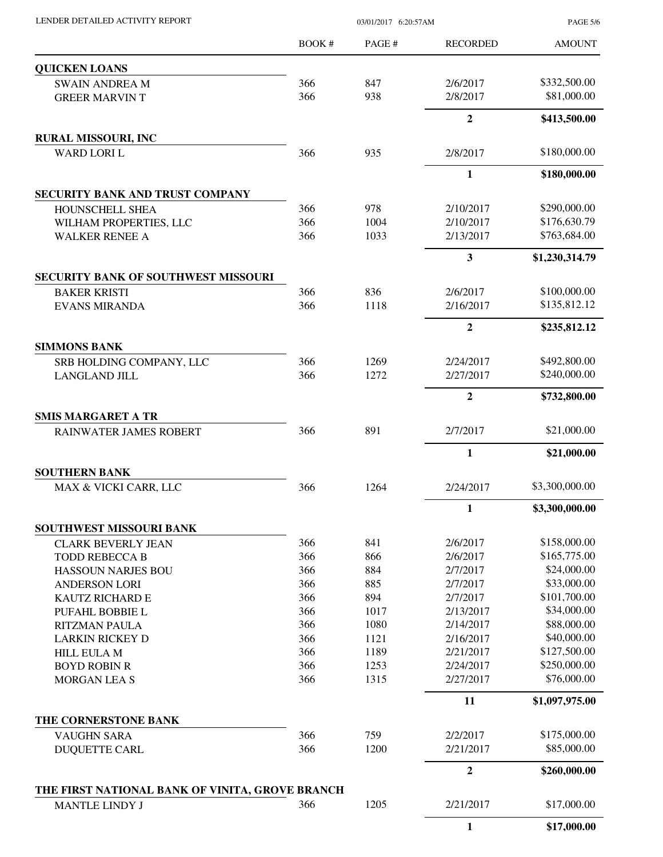PAGE 5/6

|                                                      | <b>BOOK#</b> | PAGE# | <b>RECORDED</b>        | <b>AMOUNT</b>  |
|------------------------------------------------------|--------------|-------|------------------------|----------------|
| <b>QUICKEN LOANS</b>                                 |              |       |                        |                |
| <b>SWAIN ANDREA M</b>                                | 366          | 847   | 2/6/2017               | \$332,500.00   |
| <b>GREER MARVIN T</b>                                | 366          | 938   | 2/8/2017               | \$81,000.00    |
|                                                      |              |       | $\overline{2}$         | \$413,500.00   |
| <b>RURAL MISSOURI, INC</b>                           |              |       |                        |                |
| <b>WARD LORI L</b>                                   | 366          | 935   | 2/8/2017               | \$180,000.00   |
|                                                      |              |       | 1                      | \$180,000.00   |
| SECURITY BANK AND TRUST COMPANY                      |              |       |                        |                |
| HOUNSCHELL SHEA                                      | 366          | 978   | 2/10/2017              | \$290,000.00   |
| WILHAM PROPERTIES, LLC                               | 366          | 1004  | 2/10/2017              | \$176,630.79   |
| <b>WALKER RENEE A</b>                                | 366          | 1033  | 2/13/2017              | \$763,684.00   |
|                                                      |              |       | 3                      | \$1,230,314.79 |
| <b>SECURITY BANK OF SOUTHWEST MISSOURI</b>           |              |       |                        |                |
| <b>BAKER KRISTI</b>                                  | 366          | 836   | 2/6/2017               | \$100,000.00   |
| <b>EVANS MIRANDA</b>                                 | 366          | 1118  | 2/16/2017              | \$135,812.12   |
|                                                      |              |       | $\overline{2}$         | \$235,812.12   |
| <b>SIMMONS BANK</b>                                  |              |       |                        |                |
| SRB HOLDING COMPANY, LLC                             | 366          | 1269  | 2/24/2017              | \$492,800.00   |
| <b>LANGLAND JILL</b>                                 | 366          | 1272  | 2/27/2017              | \$240,000.00   |
|                                                      |              |       | $\overline{2}$         | \$732,800.00   |
| <b>SMIS MARGARET A TR</b><br>RAINWATER JAMES ROBERT  | 366          | 891   | 2/7/2017               | \$21,000.00    |
|                                                      |              |       |                        |                |
| <b>SOUTHERN BANK</b>                                 |              |       | 1                      | \$21,000.00    |
| MAX & VICKI CARR, LLC                                | 366          | 1264  | 2/24/2017              | \$3,300,000.00 |
|                                                      |              |       |                        |                |
|                                                      |              |       | $\mathbf{1}$           | \$3,300,000.00 |
| SOUTHWEST MISSOURI BANK<br><b>CLARK BEVERLY JEAN</b> | 366          | 841   | 2/6/2017               | \$158,000.00   |
| <b>TODD REBECCA B</b>                                | 366          | 866   | 2/6/2017               | \$165,775.00   |
| <b>HASSOUN NARJES BOU</b>                            | 366          | 884   | 2/7/2017               | \$24,000.00    |
| <b>ANDERSON LORI</b>                                 | 366          | 885   | 2/7/2017               | \$33,000.00    |
| KAUTZ RICHARD E                                      | 366          | 894   | 2/7/2017               | \$101,700.00   |
| PUFAHL BOBBIE L                                      | 366          | 1017  | 2/13/2017              | \$34,000.00    |
| <b>RITZMAN PAULA</b>                                 | 366          | 1080  | 2/14/2017              | \$88,000.00    |
| <b>LARKIN RICKEY D</b>                               | 366          | 1121  | 2/16/2017              | \$40,000.00    |
|                                                      | 366          | 1189  | 2/21/2017              | \$127,500.00   |
| <b>HILL EULA M</b>                                   | 366          | 1253  |                        | \$250,000.00   |
| <b>BOYD ROBIN R</b><br><b>MORGAN LEA S</b>           | 366          | 1315  | 2/24/2017<br>2/27/2017 | \$76,000.00    |
|                                                      |              |       | 11                     | \$1,097,975.00 |
| THE CORNERSTONE BANK                                 |              |       |                        |                |
| <b>VAUGHN SARA</b>                                   | 366          | 759   | 2/2/2017               | \$175,000.00   |
| <b>DUQUETTE CARL</b>                                 | 366          | 1200  | 2/21/2017              | \$85,000.00    |
|                                                      |              |       | $\overline{2}$         | \$260,000.00   |
| THE FIRST NATIONAL BANK OF VINITA, GROVE BRANCH      |              |       |                        |                |
| <b>MANTLE LINDY J</b>                                | 366          | 1205  | 2/21/2017              | \$17,000.00    |
|                                                      |              |       | $\mathbf{1}$           | \$17,000.00    |